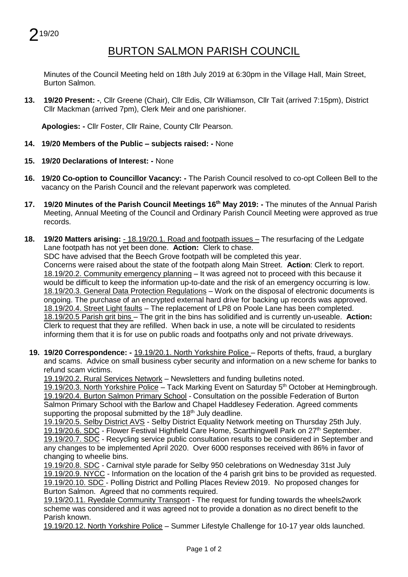## BURTON SALMON PARISH COUNCIL

Minutes of the Council Meeting held on 18th July 2019 at 6:30pm in the Village Hall, Main Street, Burton Salmon.

**13. 19/20 Present: -**, Cllr Greene (Chair), Cllr Edis, Cllr Williamson, Cllr Tait (arrived 7:15pm), District Cllr Mackman (arrived 7pm), Clerk Meir and one parishioner.

**Apologies: -** Cllr Foster, Cllr Raine, County Cllr Pearson.

- **14. 19/20 Members of the Public – subjects raised: -** None
- **15. 19/20 Declarations of Interest: -** None
- **16. 19/20 Co-option to Councillor Vacancy: -** The Parish Council resolved to co-opt Colleen Bell to the vacancy on the Parish Council and the relevant paperwork was completed.
- **17. 19/20 Minutes of the Parish Council Meetings 16 th May 2019: -** The minutes of the Annual Parish Meeting, Annual Meeting of the Council and Ordinary Parish Council Meeting were approved as true records.
- **18. 19/20 Matters arising:**  18.19/20.1. Road and footpath issues The resurfacing of the Ledgate Lane footpath has not yet been done. **Action:** Clerk to chase.

SDC have advised that the Beech Grove footpath will be completed this year.

Concerns were raised about the state of the footpath along Main Street. **Action**: Clerk to report. 18.19/20.2. Community emergency planning – It was agreed not to proceed with this because it would be difficult to keep the information up-to-date and the risk of an emergency occurring is low. 18.19/20.3. General Data Protection Regulations – Work on the disposal of electronic documents is ongoing. The purchase of an encrypted external hard drive for backing up records was approved. 18.19/20.4. Street Light faults – The replacement of LP8 on Poole Lane has been completed. 18.19/20.5 Parish grit bins – The grit in the bins has solidified and is currently un-useable. **Action:** Clerk to request that they are refilled. When back in use, a note will be circulated to residents informing them that it is for use on public roads and footpaths only and not private driveways.

**19. 19/20 Correspondence: -** 19.19/20.1. North Yorkshire Police – Reports of thefts, fraud, a burglary and scams. Advice on small business cyber security and information on a new scheme for banks to refund scam victims.

19.19/20.2. Rural Services Network – Newsletters and funding bulletins noted.

19.19/20.3. North Yorkshire Police – Tack Marking Event on Saturday  $5<sup>th</sup>$  October at Hemingbrough. 19.19/20.4. Burton Salmon Primary School - Consultation on the possible Federation of Burton Salmon Primary School with the Barlow and Chapel Haddlesey Federation. Agreed comments supporting the proposal submitted by the  $18<sup>th</sup>$  July deadline.

19.19/20.5. Selby District AVS - Selby District Equality Network meeting on Thursday 25th July. 19.19/20.6. SDC - Flower Festival Highfield Care Home, Scarthingwell Park on 27<sup>th</sup> September. 19.19/20.7. SDC - Recycling service public consultation results to be considered in September and any changes to be implemented April 2020. Over 6000 responses received with 86% in favor of changing to wheelie bins.

19.19/20.8. SDC - Carnival style parade for Selby 950 celebrations on Wednesday 31st July 19.19/20.9. NYCC - Information on the location of the 4 parish grit bins to be provided as requested. 19.19/20.10. SDC - Polling District and Polling Places Review 2019. No proposed changes for Burton Salmon. Agreed that no comments required.

19.19/20.11. Ryedale Community Transport - The request for funding towards the wheels2work scheme was considered and it was agreed not to provide a donation as no direct benefit to the Parish known.

19.19/20.12. North Yorkshire Police – Summer Lifestyle Challenge for 10-17 year olds launched.